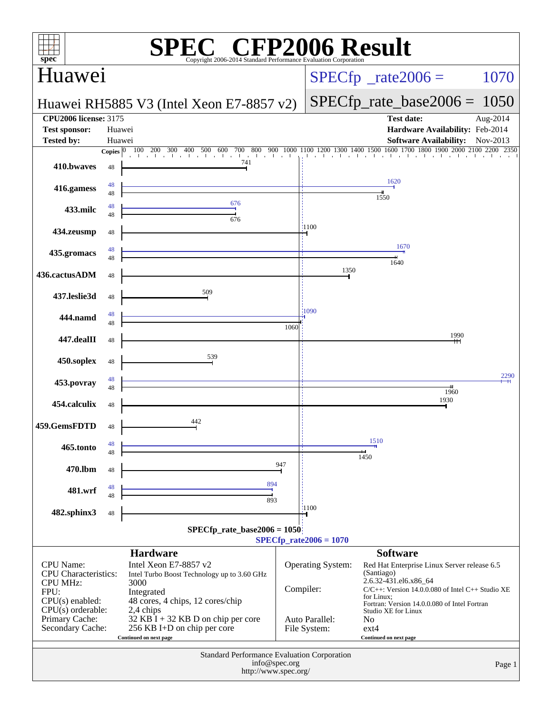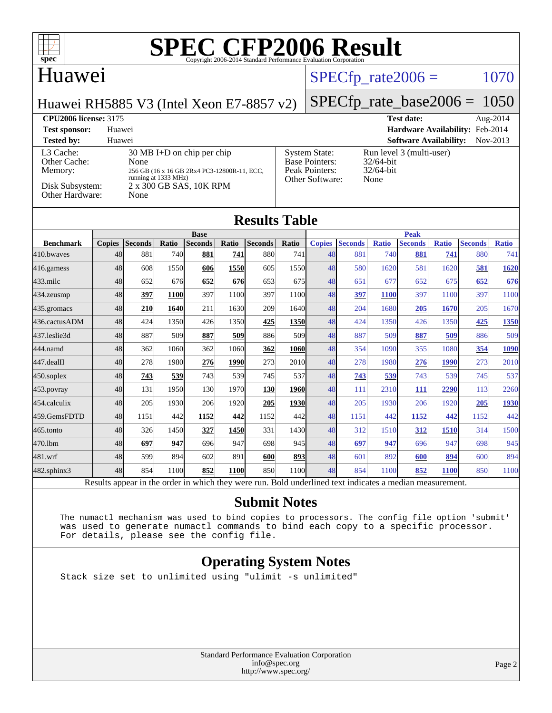

#### Huawei

[Other Cache:](http://www.spec.org/auto/cpu2006/Docs/result-fields.html#OtherCache)

[Other Hardware:](http://www.spec.org/auto/cpu2006/Docs/result-fields.html#OtherHardware)

#### $SPECTp\_rate2006 = 1070$

[System State:](http://www.spec.org/auto/cpu2006/Docs/result-fields.html#SystemState) Run level 3 (multi-user)<br>Base Pointers: 32/64-bit

[Base Pointers:](http://www.spec.org/auto/cpu2006/Docs/result-fields.html#BasePointers) 32/64-bit<br>Peak Pointers: 32/64-bit

[Other Software:](http://www.spec.org/auto/cpu2006/Docs/result-fields.html#OtherSoftware) None

[Peak Pointers:](http://www.spec.org/auto/cpu2006/Docs/result-fields.html#PeakPointers)

Huawei RH5885 V3 (Intel Xeon E7-8857 v2)

[L3 Cache:](http://www.spec.org/auto/cpu2006/Docs/result-fields.html#L3Cache) 30 MB I+D on chip per chip<br>Other Cache: None

[Disk Subsystem:](http://www.spec.org/auto/cpu2006/Docs/result-fields.html#DiskSubsystem) 2 x 300 GB SAS, 10K RPM<br>Other Hardware: None

[Memory:](http://www.spec.org/auto/cpu2006/Docs/result-fields.html#Memory) 256 GB (16 x 16 GB 2Rx4 PC3-12800R-11, ECC, running at 1333 MHz)

#### [SPECfp\\_rate\\_base2006 =](http://www.spec.org/auto/cpu2006/Docs/result-fields.html#SPECfpratebase2006) 1050

**[CPU2006 license:](http://www.spec.org/auto/cpu2006/Docs/result-fields.html#CPU2006license)** 3175 **[Test date:](http://www.spec.org/auto/cpu2006/Docs/result-fields.html#Testdate)** Aug-2014 **[Test sponsor:](http://www.spec.org/auto/cpu2006/Docs/result-fields.html#Testsponsor)** Huawei **[Hardware Availability:](http://www.spec.org/auto/cpu2006/Docs/result-fields.html#HardwareAvailability)** Feb-2014 **[Tested by:](http://www.spec.org/auto/cpu2006/Docs/result-fields.html#Testedby)** Huawei **[Software Availability:](http://www.spec.org/auto/cpu2006/Docs/result-fields.html#SoftwareAvailability)** Nov-2013

### **[Results Table](http://www.spec.org/auto/cpu2006/Docs/result-fields.html#ResultsTable)**

|                  | <b>Base</b>   |                |       |                |             |                |              |               | <b>Peak</b>    |              |                |              |                |              |  |
|------------------|---------------|----------------|-------|----------------|-------------|----------------|--------------|---------------|----------------|--------------|----------------|--------------|----------------|--------------|--|
| <b>Benchmark</b> | <b>Copies</b> | <b>Seconds</b> | Ratio | <b>Seconds</b> | Ratio       | <b>Seconds</b> | <b>Ratio</b> | <b>Copies</b> | <b>Seconds</b> | <b>Ratio</b> | <b>Seconds</b> | <b>Ratio</b> | <b>Seconds</b> | <b>Ratio</b> |  |
| 410.bwayes       | 48            | 881            | 740   | 881            | 741         | 880            | 741          | 48            | 881            | 740          | 881            | 741          | 880            | 741          |  |
| 416.gamess       | 48            | 608            | 1550  | 606            | 1550        | 605            | 1550         | 48            | 580            | 1620         | 581            | 1620         | 581            | <u>1620</u>  |  |
| $433$ .milc      | 48            | 652            | 676   | 652            | 676         | 653            | 675          | 48            | 651            | 677          | 652            | 675          | 652            | 676          |  |
| $434$ . zeusmp   | 48            | 397            | 1100  | 397            | 1100        | 397            | 1100         | 48            | 397            | 1100         | 397            | 1100         | 397            | 1100         |  |
| 435.gromacs      | 48            | 210            | 1640  | 211            | 1630        | 209            | 1640         | 48            | 204            | 1680         | 205            | 1670         | 205            | 1670         |  |
| 436.cactusADM    | 48            | 424            | 1350  | 426            | 1350        | 425            | 1350         | 48            | 424            | 1350         | 426            | 1350         | 425            | 1350         |  |
| 437.leslie3d     | 48            | 887            | 509   | 887            | <b>509</b>  | 886            | 509          | 48            | 887            | 509          | 887            | <u>509</u>   | 886            | 509          |  |
| 444.namd         | 48            | 362            | 1060  | 362            | 1060        | 362            | 1060         | 48            | 354            | 1090         | 355            | 1080         | 354            | 1090         |  |
| 447.dealII       | 48            | 278            | 1980  | 276            | 1990        | 273            | 2010         | 48            | 278            | 1980         | 276            | 1990         | 273            | 2010         |  |
| 450.soplex       | 48            | 743            | 539   | 743            | 539         | 745            | 537          | 48            | 743            | 539          | 743            | 539          | 745            | 537          |  |
| 453.povray       | 48            | 131            | 1950  | 130            | 1970        | 130            | 1960         | 48            | 111            | 2310         | 111            | 2290         | 113            | 2260         |  |
| 454.calculix     | 48            | 205            | 1930  | 206            | 1920        | 205            | 1930         | 48            | 205            | 1930         | 206            | 1920         | 205            | 1930         |  |
| 459.GemsFDTD     | 48            | 1151           | 442   | 1152           | 442         | 1152           | 442          | 48            | 1151           | 442          | 1152           | 442          | 1152           | 442          |  |
| 465.tonto        | 48            | 326            | 1450  | 327            | 1450        | 331            | 1430         | 48            | 312            | 1510         | 312            | 1510         | 314            | 1500         |  |
| 470.1bm          | 48            | 697            | 947   | 696            | 947         | 698            | 945          | 48            | 697            | 947          | 696            | 947          | 698            | 945          |  |
| 481.wrf          | 48            | 599            | 894   | 602            | 891         | 600            | 893          | 48            | 601            | 892          | 600            | 894          | 600            | 894          |  |
| 482.sphinx3      | 48            | 854            | 1100  | 852            | <b>1100</b> | 850            | 1100         | 48            | 854            | 1100         | 852            | <b>1100</b>  | 850            | 1100         |  |

Results appear in the [order in which they were run.](http://www.spec.org/auto/cpu2006/Docs/result-fields.html#RunOrder) Bold underlined text [indicates a median measurement.](http://www.spec.org/auto/cpu2006/Docs/result-fields.html#Median)

#### **[Submit Notes](http://www.spec.org/auto/cpu2006/Docs/result-fields.html#SubmitNotes)**

 The numactl mechanism was used to bind copies to processors. The config file option 'submit' was used to generate numactl commands to bind each copy to a specific processor. For details, please see the config file.

#### **[Operating System Notes](http://www.spec.org/auto/cpu2006/Docs/result-fields.html#OperatingSystemNotes)**

Stack size set to unlimited using "ulimit -s unlimited"

Standard Performance Evaluation Corporation [info@spec.org](mailto:info@spec.org) <http://www.spec.org/>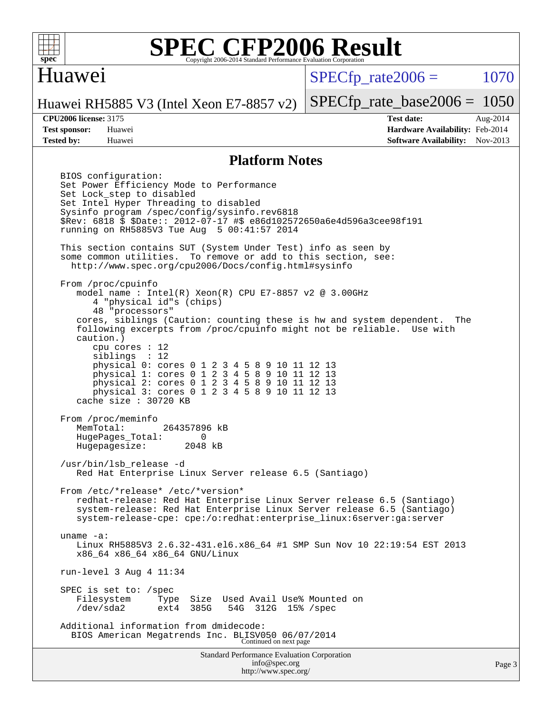

#### Huawei

 $SPECTp\_rate2006 = 1070$ 

[SPECfp\\_rate\\_base2006 =](http://www.spec.org/auto/cpu2006/Docs/result-fields.html#SPECfpratebase2006) 1050

Huawei RH5885 V3 (Intel Xeon E7-8857 v2)

**[Tested by:](http://www.spec.org/auto/cpu2006/Docs/result-fields.html#Testedby)** Huawei **[Software Availability:](http://www.spec.org/auto/cpu2006/Docs/result-fields.html#SoftwareAvailability)** Nov-2013

**[CPU2006 license:](http://www.spec.org/auto/cpu2006/Docs/result-fields.html#CPU2006license)** 3175 **[Test date:](http://www.spec.org/auto/cpu2006/Docs/result-fields.html#Testdate)** Aug-2014 **[Test sponsor:](http://www.spec.org/auto/cpu2006/Docs/result-fields.html#Testsponsor)** Huawei **[Hardware Availability:](http://www.spec.org/auto/cpu2006/Docs/result-fields.html#HardwareAvailability)** Feb-2014

#### **[Platform Notes](http://www.spec.org/auto/cpu2006/Docs/result-fields.html#PlatformNotes)**

Standard Performance Evaluation Corporation BIOS configuration: Set Power Efficiency Mode to Performance Set Lock\_step to disabled Set Intel Hyper Threading to disabled Sysinfo program /spec/config/sysinfo.rev6818 \$Rev: 6818 \$ \$Date:: 2012-07-17 #\$ e86d102572650a6e4d596a3cee98f191 running on RH5885V3 Tue Aug 5 00:41:57 2014 This section contains SUT (System Under Test) info as seen by some common utilities. To remove or add to this section, see: <http://www.spec.org/cpu2006/Docs/config.html#sysinfo> From /proc/cpuinfo model name : Intel(R) Xeon(R) CPU E7-8857 v2 @ 3.00GHz 4 "physical id"s (chips) 48 "processors" cores, siblings (Caution: counting these is hw and system dependent. The following excerpts from /proc/cpuinfo might not be reliable. Use with caution.) cpu cores : 12 siblings : 12 physical 0: cores 0 1 2 3 4 5 8 9 10 11 12 13 physical 1: cores 0 1 2 3 4 5 8 9 10 11 12 13 physical 2: cores 0 1 2 3 4 5 8 9 10 11 12 13 physical 3: cores 0 1 2 3 4 5 8 9 10 11 12 13 cache size : 30720 KB From /proc/meminfo<br>MemTotal: 264357896 kB HugePages\_Total: 0 Hugepagesize: 2048 kB /usr/bin/lsb\_release -d Red Hat Enterprise Linux Server release 6.5 (Santiago) From /etc/\*release\* /etc/\*version\* redhat-release: Red Hat Enterprise Linux Server release 6.5 (Santiago) system-release: Red Hat Enterprise Linux Server release 6.5 (Santiago) system-release-cpe: cpe:/o:redhat:enterprise\_linux:6server:ga:server uname -a: Linux RH5885V3 2.6.32-431.el6.x86\_64 #1 SMP Sun Nov 10 22:19:54 EST 2013 x86\_64 x86\_64 x86\_64 GNU/Linux run-level 3 Aug 4 11:34 SPEC is set to: /spec<br>Filesystem Type Type Size Used Avail Use% Mounted on<br>ext4 385G 54G 312G 15% /spec /dev/sda2 ext4 385G 54G 312G 15% /spec Additional information from dmidecode: BIOS American Megatrends Inc. BLISV050 06/07/2014 Continued on next page

[info@spec.org](mailto:info@spec.org) <http://www.spec.org/>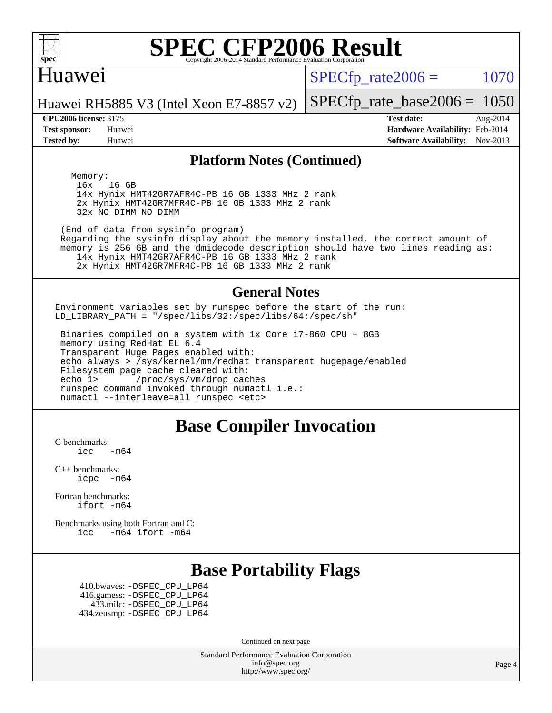

#### Huawei

 $SPECTp\_rate2006 = 1070$ 

Huawei RH5885 V3 (Intel Xeon E7-8857 v2)

**[Tested by:](http://www.spec.org/auto/cpu2006/Docs/result-fields.html#Testedby)** Huawei **[Software Availability:](http://www.spec.org/auto/cpu2006/Docs/result-fields.html#SoftwareAvailability)** Nov-2013

**[CPU2006 license:](http://www.spec.org/auto/cpu2006/Docs/result-fields.html#CPU2006license)** 3175 **[Test date:](http://www.spec.org/auto/cpu2006/Docs/result-fields.html#Testdate)** Aug-2014 **[Test sponsor:](http://www.spec.org/auto/cpu2006/Docs/result-fields.html#Testsponsor)** Huawei **[Hardware Availability:](http://www.spec.org/auto/cpu2006/Docs/result-fields.html#HardwareAvailability)** Feb-2014

[SPECfp\\_rate\\_base2006 =](http://www.spec.org/auto/cpu2006/Docs/result-fields.html#SPECfpratebase2006) 1050

#### **[Platform Notes \(Continued\)](http://www.spec.org/auto/cpu2006/Docs/result-fields.html#PlatformNotes)**

Memory:<br>16x 16 GB 14x Hynix HMT42GR7AFR4C-PB 16 GB 1333 MHz 2 rank 2x Hynix HMT42GR7MFR4C-PB 16 GB 1333 MHz 2 rank 32x NO DIMM NO DIMM

 (End of data from sysinfo program) Regarding the sysinfo display about the memory installed, the correct amount of memory is 256 GB and the dmidecode description should have two lines reading as: 14x Hynix HMT42GR7AFR4C-PB 16 GB 1333 MHz 2 rank 2x Hynix HMT42GR7MFR4C-PB 16 GB 1333 MHz 2 rank

#### **[General Notes](http://www.spec.org/auto/cpu2006/Docs/result-fields.html#GeneralNotes)**

Environment variables set by runspec before the start of the run: LD\_LIBRARY\_PATH = "/spec/libs/32:/spec/libs/64:/spec/sh"

 Binaries compiled on a system with 1x Core i7-860 CPU + 8GB memory using RedHat EL 6.4 Transparent Huge Pages enabled with: echo always > /sys/kernel/mm/redhat\_transparent\_hugepage/enabled Filesystem page cache cleared with: echo 1> /proc/sys/vm/drop\_caches runspec command invoked through numactl i.e.: numactl --interleave=all runspec <etc>

#### **[Base Compiler Invocation](http://www.spec.org/auto/cpu2006/Docs/result-fields.html#BaseCompilerInvocation)**

[C benchmarks](http://www.spec.org/auto/cpu2006/Docs/result-fields.html#Cbenchmarks):

 $\text{icc}$   $-\text{m64}$ 

[C++ benchmarks:](http://www.spec.org/auto/cpu2006/Docs/result-fields.html#CXXbenchmarks) [icpc -m64](http://www.spec.org/cpu2006/results/res2014q3/cpu2006-20140815-30935.flags.html#user_CXXbase_intel_icpc_64bit_bedb90c1146cab66620883ef4f41a67e)

[Fortran benchmarks](http://www.spec.org/auto/cpu2006/Docs/result-fields.html#Fortranbenchmarks): [ifort -m64](http://www.spec.org/cpu2006/results/res2014q3/cpu2006-20140815-30935.flags.html#user_FCbase_intel_ifort_64bit_ee9d0fb25645d0210d97eb0527dcc06e)

[Benchmarks using both Fortran and C](http://www.spec.org/auto/cpu2006/Docs/result-fields.html#BenchmarksusingbothFortranandC): [icc -m64](http://www.spec.org/cpu2006/results/res2014q3/cpu2006-20140815-30935.flags.html#user_CC_FCbase_intel_icc_64bit_0b7121f5ab7cfabee23d88897260401c) [ifort -m64](http://www.spec.org/cpu2006/results/res2014q3/cpu2006-20140815-30935.flags.html#user_CC_FCbase_intel_ifort_64bit_ee9d0fb25645d0210d97eb0527dcc06e)

#### **[Base Portability Flags](http://www.spec.org/auto/cpu2006/Docs/result-fields.html#BasePortabilityFlags)**

 410.bwaves: [-DSPEC\\_CPU\\_LP64](http://www.spec.org/cpu2006/results/res2014q3/cpu2006-20140815-30935.flags.html#suite_basePORTABILITY410_bwaves_DSPEC_CPU_LP64) 416.gamess: [-DSPEC\\_CPU\\_LP64](http://www.spec.org/cpu2006/results/res2014q3/cpu2006-20140815-30935.flags.html#suite_basePORTABILITY416_gamess_DSPEC_CPU_LP64) 433.milc: [-DSPEC\\_CPU\\_LP64](http://www.spec.org/cpu2006/results/res2014q3/cpu2006-20140815-30935.flags.html#suite_basePORTABILITY433_milc_DSPEC_CPU_LP64) 434.zeusmp: [-DSPEC\\_CPU\\_LP64](http://www.spec.org/cpu2006/results/res2014q3/cpu2006-20140815-30935.flags.html#suite_basePORTABILITY434_zeusmp_DSPEC_CPU_LP64)

Continued on next page

Standard Performance Evaluation Corporation [info@spec.org](mailto:info@spec.org) <http://www.spec.org/>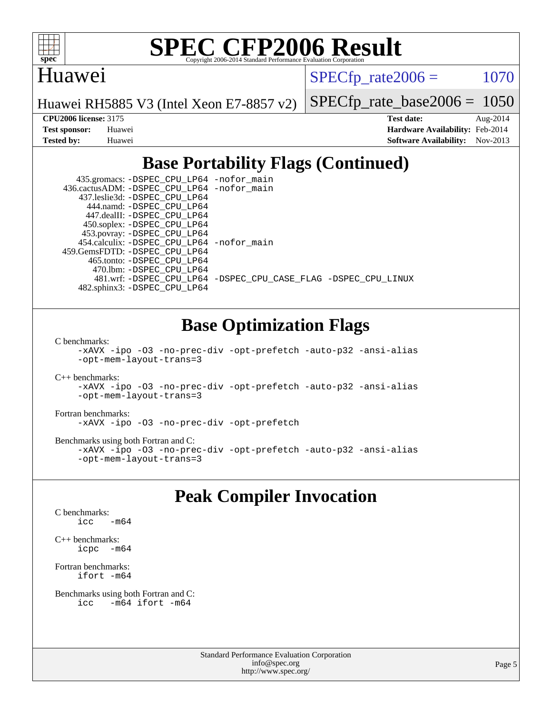

#### Huawei

 $SPECTp\_rate2006 = 1070$ 

Huawei RH5885 V3 (Intel Xeon E7-8857 v2)

[SPECfp\\_rate\\_base2006 =](http://www.spec.org/auto/cpu2006/Docs/result-fields.html#SPECfpratebase2006) 1050

**[CPU2006 license:](http://www.spec.org/auto/cpu2006/Docs/result-fields.html#CPU2006license)** 3175 **[Test date:](http://www.spec.org/auto/cpu2006/Docs/result-fields.html#Testdate)** Aug-2014 **[Test sponsor:](http://www.spec.org/auto/cpu2006/Docs/result-fields.html#Testsponsor)** Huawei **[Hardware Availability:](http://www.spec.org/auto/cpu2006/Docs/result-fields.html#HardwareAvailability)** Feb-2014 **[Tested by:](http://www.spec.org/auto/cpu2006/Docs/result-fields.html#Testedby)** Huawei **[Software Availability:](http://www.spec.org/auto/cpu2006/Docs/result-fields.html#SoftwareAvailability)** Nov-2013

### **[Base Portability Flags \(Continued\)](http://www.spec.org/auto/cpu2006/Docs/result-fields.html#BasePortabilityFlags)**

 435.gromacs: [-DSPEC\\_CPU\\_LP64](http://www.spec.org/cpu2006/results/res2014q3/cpu2006-20140815-30935.flags.html#suite_basePORTABILITY435_gromacs_DSPEC_CPU_LP64) [-nofor\\_main](http://www.spec.org/cpu2006/results/res2014q3/cpu2006-20140815-30935.flags.html#user_baseLDPORTABILITY435_gromacs_f-nofor_main) 436.cactusADM: [-DSPEC\\_CPU\\_LP64](http://www.spec.org/cpu2006/results/res2014q3/cpu2006-20140815-30935.flags.html#suite_basePORTABILITY436_cactusADM_DSPEC_CPU_LP64) [-nofor\\_main](http://www.spec.org/cpu2006/results/res2014q3/cpu2006-20140815-30935.flags.html#user_baseLDPORTABILITY436_cactusADM_f-nofor_main) 437.leslie3d: [-DSPEC\\_CPU\\_LP64](http://www.spec.org/cpu2006/results/res2014q3/cpu2006-20140815-30935.flags.html#suite_basePORTABILITY437_leslie3d_DSPEC_CPU_LP64) 444.namd: [-DSPEC\\_CPU\\_LP64](http://www.spec.org/cpu2006/results/res2014q3/cpu2006-20140815-30935.flags.html#suite_basePORTABILITY444_namd_DSPEC_CPU_LP64) 447.dealII: [-DSPEC\\_CPU\\_LP64](http://www.spec.org/cpu2006/results/res2014q3/cpu2006-20140815-30935.flags.html#suite_basePORTABILITY447_dealII_DSPEC_CPU_LP64) 450.soplex: [-DSPEC\\_CPU\\_LP64](http://www.spec.org/cpu2006/results/res2014q3/cpu2006-20140815-30935.flags.html#suite_basePORTABILITY450_soplex_DSPEC_CPU_LP64) 453.povray: [-DSPEC\\_CPU\\_LP64](http://www.spec.org/cpu2006/results/res2014q3/cpu2006-20140815-30935.flags.html#suite_basePORTABILITY453_povray_DSPEC_CPU_LP64) 454.calculix: [-DSPEC\\_CPU\\_LP64](http://www.spec.org/cpu2006/results/res2014q3/cpu2006-20140815-30935.flags.html#suite_basePORTABILITY454_calculix_DSPEC_CPU_LP64) [-nofor\\_main](http://www.spec.org/cpu2006/results/res2014q3/cpu2006-20140815-30935.flags.html#user_baseLDPORTABILITY454_calculix_f-nofor_main) 459.GemsFDTD: [-DSPEC\\_CPU\\_LP64](http://www.spec.org/cpu2006/results/res2014q3/cpu2006-20140815-30935.flags.html#suite_basePORTABILITY459_GemsFDTD_DSPEC_CPU_LP64) 465.tonto: [-DSPEC\\_CPU\\_LP64](http://www.spec.org/cpu2006/results/res2014q3/cpu2006-20140815-30935.flags.html#suite_basePORTABILITY465_tonto_DSPEC_CPU_LP64) 470.lbm: [-DSPEC\\_CPU\\_LP64](http://www.spec.org/cpu2006/results/res2014q3/cpu2006-20140815-30935.flags.html#suite_basePORTABILITY470_lbm_DSPEC_CPU_LP64) 481.wrf: [-DSPEC\\_CPU\\_LP64](http://www.spec.org/cpu2006/results/res2014q3/cpu2006-20140815-30935.flags.html#suite_basePORTABILITY481_wrf_DSPEC_CPU_LP64) [-DSPEC\\_CPU\\_CASE\\_FLAG](http://www.spec.org/cpu2006/results/res2014q3/cpu2006-20140815-30935.flags.html#b481.wrf_baseCPORTABILITY_DSPEC_CPU_CASE_FLAG) [-DSPEC\\_CPU\\_LINUX](http://www.spec.org/cpu2006/results/res2014q3/cpu2006-20140815-30935.flags.html#b481.wrf_baseCPORTABILITY_DSPEC_CPU_LINUX) 482.sphinx3: [-DSPEC\\_CPU\\_LP64](http://www.spec.org/cpu2006/results/res2014q3/cpu2006-20140815-30935.flags.html#suite_basePORTABILITY482_sphinx3_DSPEC_CPU_LP64)

### **[Base Optimization Flags](http://www.spec.org/auto/cpu2006/Docs/result-fields.html#BaseOptimizationFlags)**

[C benchmarks](http://www.spec.org/auto/cpu2006/Docs/result-fields.html#Cbenchmarks):

[-xAVX](http://www.spec.org/cpu2006/results/res2014q3/cpu2006-20140815-30935.flags.html#user_CCbase_f-xAVX) [-ipo](http://www.spec.org/cpu2006/results/res2014q3/cpu2006-20140815-30935.flags.html#user_CCbase_f-ipo) [-O3](http://www.spec.org/cpu2006/results/res2014q3/cpu2006-20140815-30935.flags.html#user_CCbase_f-O3) [-no-prec-div](http://www.spec.org/cpu2006/results/res2014q3/cpu2006-20140815-30935.flags.html#user_CCbase_f-no-prec-div) [-opt-prefetch](http://www.spec.org/cpu2006/results/res2014q3/cpu2006-20140815-30935.flags.html#user_CCbase_f-opt-prefetch) [-auto-p32](http://www.spec.org/cpu2006/results/res2014q3/cpu2006-20140815-30935.flags.html#user_CCbase_f-auto-p32) [-ansi-alias](http://www.spec.org/cpu2006/results/res2014q3/cpu2006-20140815-30935.flags.html#user_CCbase_f-ansi-alias) [-opt-mem-layout-trans=3](http://www.spec.org/cpu2006/results/res2014q3/cpu2006-20140815-30935.flags.html#user_CCbase_f-opt-mem-layout-trans_a7b82ad4bd7abf52556d4961a2ae94d5)

[C++ benchmarks:](http://www.spec.org/auto/cpu2006/Docs/result-fields.html#CXXbenchmarks)

[-xAVX](http://www.spec.org/cpu2006/results/res2014q3/cpu2006-20140815-30935.flags.html#user_CXXbase_f-xAVX) [-ipo](http://www.spec.org/cpu2006/results/res2014q3/cpu2006-20140815-30935.flags.html#user_CXXbase_f-ipo) [-O3](http://www.spec.org/cpu2006/results/res2014q3/cpu2006-20140815-30935.flags.html#user_CXXbase_f-O3) [-no-prec-div](http://www.spec.org/cpu2006/results/res2014q3/cpu2006-20140815-30935.flags.html#user_CXXbase_f-no-prec-div) [-opt-prefetch](http://www.spec.org/cpu2006/results/res2014q3/cpu2006-20140815-30935.flags.html#user_CXXbase_f-opt-prefetch) [-auto-p32](http://www.spec.org/cpu2006/results/res2014q3/cpu2006-20140815-30935.flags.html#user_CXXbase_f-auto-p32) [-ansi-alias](http://www.spec.org/cpu2006/results/res2014q3/cpu2006-20140815-30935.flags.html#user_CXXbase_f-ansi-alias) [-opt-mem-layout-trans=3](http://www.spec.org/cpu2006/results/res2014q3/cpu2006-20140815-30935.flags.html#user_CXXbase_f-opt-mem-layout-trans_a7b82ad4bd7abf52556d4961a2ae94d5)

[Fortran benchmarks](http://www.spec.org/auto/cpu2006/Docs/result-fields.html#Fortranbenchmarks):

[-xAVX](http://www.spec.org/cpu2006/results/res2014q3/cpu2006-20140815-30935.flags.html#user_FCbase_f-xAVX) [-ipo](http://www.spec.org/cpu2006/results/res2014q3/cpu2006-20140815-30935.flags.html#user_FCbase_f-ipo) [-O3](http://www.spec.org/cpu2006/results/res2014q3/cpu2006-20140815-30935.flags.html#user_FCbase_f-O3) [-no-prec-div](http://www.spec.org/cpu2006/results/res2014q3/cpu2006-20140815-30935.flags.html#user_FCbase_f-no-prec-div) [-opt-prefetch](http://www.spec.org/cpu2006/results/res2014q3/cpu2006-20140815-30935.flags.html#user_FCbase_f-opt-prefetch)

[Benchmarks using both Fortran and C](http://www.spec.org/auto/cpu2006/Docs/result-fields.html#BenchmarksusingbothFortranandC):

[-xAVX](http://www.spec.org/cpu2006/results/res2014q3/cpu2006-20140815-30935.flags.html#user_CC_FCbase_f-xAVX) [-ipo](http://www.spec.org/cpu2006/results/res2014q3/cpu2006-20140815-30935.flags.html#user_CC_FCbase_f-ipo) [-O3](http://www.spec.org/cpu2006/results/res2014q3/cpu2006-20140815-30935.flags.html#user_CC_FCbase_f-O3) [-no-prec-div](http://www.spec.org/cpu2006/results/res2014q3/cpu2006-20140815-30935.flags.html#user_CC_FCbase_f-no-prec-div) [-opt-prefetch](http://www.spec.org/cpu2006/results/res2014q3/cpu2006-20140815-30935.flags.html#user_CC_FCbase_f-opt-prefetch) [-auto-p32](http://www.spec.org/cpu2006/results/res2014q3/cpu2006-20140815-30935.flags.html#user_CC_FCbase_f-auto-p32) [-ansi-alias](http://www.spec.org/cpu2006/results/res2014q3/cpu2006-20140815-30935.flags.html#user_CC_FCbase_f-ansi-alias) [-opt-mem-layout-trans=3](http://www.spec.org/cpu2006/results/res2014q3/cpu2006-20140815-30935.flags.html#user_CC_FCbase_f-opt-mem-layout-trans_a7b82ad4bd7abf52556d4961a2ae94d5)

#### **[Peak Compiler Invocation](http://www.spec.org/auto/cpu2006/Docs/result-fields.html#PeakCompilerInvocation)**

[C benchmarks](http://www.spec.org/auto/cpu2006/Docs/result-fields.html#Cbenchmarks): [icc -m64](http://www.spec.org/cpu2006/results/res2014q3/cpu2006-20140815-30935.flags.html#user_CCpeak_intel_icc_64bit_0b7121f5ab7cfabee23d88897260401c)

[C++ benchmarks:](http://www.spec.org/auto/cpu2006/Docs/result-fields.html#CXXbenchmarks) [icpc -m64](http://www.spec.org/cpu2006/results/res2014q3/cpu2006-20140815-30935.flags.html#user_CXXpeak_intel_icpc_64bit_bedb90c1146cab66620883ef4f41a67e)

[Fortran benchmarks](http://www.spec.org/auto/cpu2006/Docs/result-fields.html#Fortranbenchmarks): [ifort -m64](http://www.spec.org/cpu2006/results/res2014q3/cpu2006-20140815-30935.flags.html#user_FCpeak_intel_ifort_64bit_ee9d0fb25645d0210d97eb0527dcc06e)

```
Benchmarks using both Fortran and C: 
icc -m64 ifort -m64
```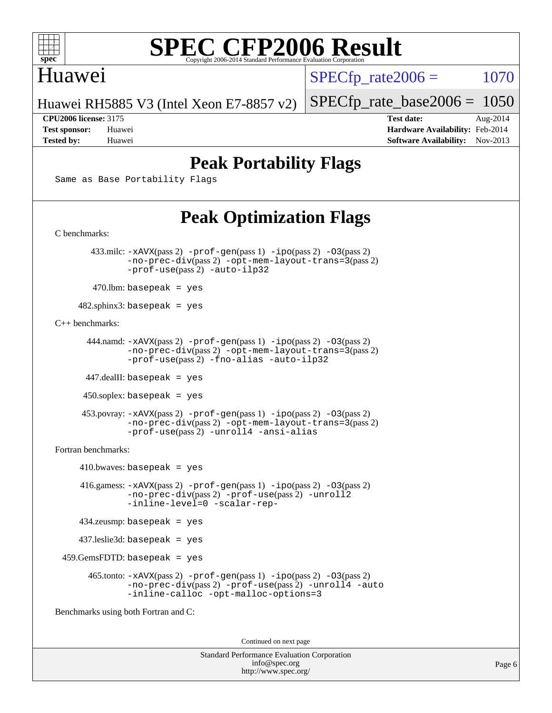

#### Huawei

 $SPECTp\_rate2006 = 1070$ 

Huawei RH5885 V3 (Intel Xeon E7-8857 v2)

[SPECfp\\_rate\\_base2006 =](http://www.spec.org/auto/cpu2006/Docs/result-fields.html#SPECfpratebase2006) 1050

**[CPU2006 license:](http://www.spec.org/auto/cpu2006/Docs/result-fields.html#CPU2006license)** 3175 **[Test date:](http://www.spec.org/auto/cpu2006/Docs/result-fields.html#Testdate)** Aug-2014 **[Test sponsor:](http://www.spec.org/auto/cpu2006/Docs/result-fields.html#Testsponsor)** Huawei **[Hardware Availability:](http://www.spec.org/auto/cpu2006/Docs/result-fields.html#HardwareAvailability)** Feb-2014 **[Tested by:](http://www.spec.org/auto/cpu2006/Docs/result-fields.html#Testedby)** Huawei **[Software Availability:](http://www.spec.org/auto/cpu2006/Docs/result-fields.html#SoftwareAvailability)** Nov-2013

### **[Peak Portability Flags](http://www.spec.org/auto/cpu2006/Docs/result-fields.html#PeakPortabilityFlags)**

Same as Base Portability Flags

### **[Peak Optimization Flags](http://www.spec.org/auto/cpu2006/Docs/result-fields.html#PeakOptimizationFlags)**

[C benchmarks](http://www.spec.org/auto/cpu2006/Docs/result-fields.html#Cbenchmarks): 433.milc: [-xAVX](http://www.spec.org/cpu2006/results/res2014q3/cpu2006-20140815-30935.flags.html#user_peakPASS2_CFLAGSPASS2_LDFLAGS433_milc_f-xAVX)(pass 2) [-prof-gen](http://www.spec.org/cpu2006/results/res2014q3/cpu2006-20140815-30935.flags.html#user_peakPASS1_CFLAGSPASS1_LDFLAGS433_milc_prof_gen_e43856698f6ca7b7e442dfd80e94a8fc)(pass 1) [-ipo](http://www.spec.org/cpu2006/results/res2014q3/cpu2006-20140815-30935.flags.html#user_peakPASS2_CFLAGSPASS2_LDFLAGS433_milc_f-ipo)(pass 2) [-O3](http://www.spec.org/cpu2006/results/res2014q3/cpu2006-20140815-30935.flags.html#user_peakPASS2_CFLAGSPASS2_LDFLAGS433_milc_f-O3)(pass 2) [-no-prec-div](http://www.spec.org/cpu2006/results/res2014q3/cpu2006-20140815-30935.flags.html#user_peakPASS2_CFLAGSPASS2_LDFLAGS433_milc_f-no-prec-div)(pass 2) [-opt-mem-layout-trans=3](http://www.spec.org/cpu2006/results/res2014q3/cpu2006-20140815-30935.flags.html#user_peakPASS2_CFLAGS433_milc_f-opt-mem-layout-trans_a7b82ad4bd7abf52556d4961a2ae94d5)(pass 2) [-prof-use](http://www.spec.org/cpu2006/results/res2014q3/cpu2006-20140815-30935.flags.html#user_peakPASS2_CFLAGSPASS2_LDFLAGS433_milc_prof_use_bccf7792157ff70d64e32fe3e1250b55)(pass 2) [-auto-ilp32](http://www.spec.org/cpu2006/results/res2014q3/cpu2006-20140815-30935.flags.html#user_peakCOPTIMIZE433_milc_f-auto-ilp32)  $470$ .lbm: basepeak = yes 482.sphinx3: basepeak = yes [C++ benchmarks:](http://www.spec.org/auto/cpu2006/Docs/result-fields.html#CXXbenchmarks) 444.namd: [-xAVX](http://www.spec.org/cpu2006/results/res2014q3/cpu2006-20140815-30935.flags.html#user_peakPASS2_CXXFLAGSPASS2_LDFLAGS444_namd_f-xAVX)(pass 2) [-prof-gen](http://www.spec.org/cpu2006/results/res2014q3/cpu2006-20140815-30935.flags.html#user_peakPASS1_CXXFLAGSPASS1_LDFLAGS444_namd_prof_gen_e43856698f6ca7b7e442dfd80e94a8fc)(pass 1) [-ipo](http://www.spec.org/cpu2006/results/res2014q3/cpu2006-20140815-30935.flags.html#user_peakPASS2_CXXFLAGSPASS2_LDFLAGS444_namd_f-ipo)(pass 2) [-O3](http://www.spec.org/cpu2006/results/res2014q3/cpu2006-20140815-30935.flags.html#user_peakPASS2_CXXFLAGSPASS2_LDFLAGS444_namd_f-O3)(pass 2) [-no-prec-div](http://www.spec.org/cpu2006/results/res2014q3/cpu2006-20140815-30935.flags.html#user_peakPASS2_CXXFLAGSPASS2_LDFLAGS444_namd_f-no-prec-div)(pass 2) [-opt-mem-layout-trans=3](http://www.spec.org/cpu2006/results/res2014q3/cpu2006-20140815-30935.flags.html#user_peakPASS2_CXXFLAGS444_namd_f-opt-mem-layout-trans_a7b82ad4bd7abf52556d4961a2ae94d5)(pass 2) [-prof-use](http://www.spec.org/cpu2006/results/res2014q3/cpu2006-20140815-30935.flags.html#user_peakPASS2_CXXFLAGSPASS2_LDFLAGS444_namd_prof_use_bccf7792157ff70d64e32fe3e1250b55)(pass 2) [-fno-alias](http://www.spec.org/cpu2006/results/res2014q3/cpu2006-20140815-30935.flags.html#user_peakCXXOPTIMIZE444_namd_f-no-alias_694e77f6c5a51e658e82ccff53a9e63a) [-auto-ilp32](http://www.spec.org/cpu2006/results/res2014q3/cpu2006-20140815-30935.flags.html#user_peakCXXOPTIMIZE444_namd_f-auto-ilp32) 447.dealII: basepeak = yes 450.soplex: basepeak = yes 453.povray: [-xAVX](http://www.spec.org/cpu2006/results/res2014q3/cpu2006-20140815-30935.flags.html#user_peakPASS2_CXXFLAGSPASS2_LDFLAGS453_povray_f-xAVX)(pass 2) [-prof-gen](http://www.spec.org/cpu2006/results/res2014q3/cpu2006-20140815-30935.flags.html#user_peakPASS1_CXXFLAGSPASS1_LDFLAGS453_povray_prof_gen_e43856698f6ca7b7e442dfd80e94a8fc)(pass 1) [-ipo](http://www.spec.org/cpu2006/results/res2014q3/cpu2006-20140815-30935.flags.html#user_peakPASS2_CXXFLAGSPASS2_LDFLAGS453_povray_f-ipo)(pass 2) [-O3](http://www.spec.org/cpu2006/results/res2014q3/cpu2006-20140815-30935.flags.html#user_peakPASS2_CXXFLAGSPASS2_LDFLAGS453_povray_f-O3)(pass 2) [-no-prec-div](http://www.spec.org/cpu2006/results/res2014q3/cpu2006-20140815-30935.flags.html#user_peakPASS2_CXXFLAGSPASS2_LDFLAGS453_povray_f-no-prec-div)(pass 2) [-opt-mem-layout-trans=3](http://www.spec.org/cpu2006/results/res2014q3/cpu2006-20140815-30935.flags.html#user_peakPASS2_CXXFLAGS453_povray_f-opt-mem-layout-trans_a7b82ad4bd7abf52556d4961a2ae94d5)(pass 2) [-prof-use](http://www.spec.org/cpu2006/results/res2014q3/cpu2006-20140815-30935.flags.html#user_peakPASS2_CXXFLAGSPASS2_LDFLAGS453_povray_prof_use_bccf7792157ff70d64e32fe3e1250b55)(pass 2) [-unroll4](http://www.spec.org/cpu2006/results/res2014q3/cpu2006-20140815-30935.flags.html#user_peakCXXOPTIMIZE453_povray_f-unroll_4e5e4ed65b7fd20bdcd365bec371b81f) [-ansi-alias](http://www.spec.org/cpu2006/results/res2014q3/cpu2006-20140815-30935.flags.html#user_peakCXXOPTIMIZE453_povray_f-ansi-alias) [Fortran benchmarks](http://www.spec.org/auto/cpu2006/Docs/result-fields.html#Fortranbenchmarks):  $410.bwaves: basepeak = yes$  416.gamess: [-xAVX](http://www.spec.org/cpu2006/results/res2014q3/cpu2006-20140815-30935.flags.html#user_peakPASS2_FFLAGSPASS2_LDFLAGS416_gamess_f-xAVX)(pass 2) [-prof-gen](http://www.spec.org/cpu2006/results/res2014q3/cpu2006-20140815-30935.flags.html#user_peakPASS1_FFLAGSPASS1_LDFLAGS416_gamess_prof_gen_e43856698f6ca7b7e442dfd80e94a8fc)(pass 1) [-ipo](http://www.spec.org/cpu2006/results/res2014q3/cpu2006-20140815-30935.flags.html#user_peakPASS2_FFLAGSPASS2_LDFLAGS416_gamess_f-ipo)(pass 2) [-O3](http://www.spec.org/cpu2006/results/res2014q3/cpu2006-20140815-30935.flags.html#user_peakPASS2_FFLAGSPASS2_LDFLAGS416_gamess_f-O3)(pass 2) [-no-prec-div](http://www.spec.org/cpu2006/results/res2014q3/cpu2006-20140815-30935.flags.html#user_peakPASS2_FFLAGSPASS2_LDFLAGS416_gamess_f-no-prec-div)(pass 2) [-prof-use](http://www.spec.org/cpu2006/results/res2014q3/cpu2006-20140815-30935.flags.html#user_peakPASS2_FFLAGSPASS2_LDFLAGS416_gamess_prof_use_bccf7792157ff70d64e32fe3e1250b55)(pass 2) [-unroll2](http://www.spec.org/cpu2006/results/res2014q3/cpu2006-20140815-30935.flags.html#user_peakOPTIMIZE416_gamess_f-unroll_784dae83bebfb236979b41d2422d7ec2) [-inline-level=0](http://www.spec.org/cpu2006/results/res2014q3/cpu2006-20140815-30935.flags.html#user_peakOPTIMIZE416_gamess_f-inline-level_318d07a09274ad25e8d15dbfaa68ba50) [-scalar-rep-](http://www.spec.org/cpu2006/results/res2014q3/cpu2006-20140815-30935.flags.html#user_peakOPTIMIZE416_gamess_f-disablescalarrep_abbcad04450fb118e4809c81d83c8a1d) 434.zeusmp: basepeak = yes 437.leslie3d: basepeak = yes 459.GemsFDTD: basepeak = yes 465.tonto: [-xAVX](http://www.spec.org/cpu2006/results/res2014q3/cpu2006-20140815-30935.flags.html#user_peakPASS2_FFLAGSPASS2_LDFLAGS465_tonto_f-xAVX)(pass 2) [-prof-gen](http://www.spec.org/cpu2006/results/res2014q3/cpu2006-20140815-30935.flags.html#user_peakPASS1_FFLAGSPASS1_LDFLAGS465_tonto_prof_gen_e43856698f6ca7b7e442dfd80e94a8fc)(pass 1) [-ipo](http://www.spec.org/cpu2006/results/res2014q3/cpu2006-20140815-30935.flags.html#user_peakPASS2_FFLAGSPASS2_LDFLAGS465_tonto_f-ipo)(pass 2) [-O3](http://www.spec.org/cpu2006/results/res2014q3/cpu2006-20140815-30935.flags.html#user_peakPASS2_FFLAGSPASS2_LDFLAGS465_tonto_f-O3)(pass 2) [-no-prec-div](http://www.spec.org/cpu2006/results/res2014q3/cpu2006-20140815-30935.flags.html#user_peakPASS2_FFLAGSPASS2_LDFLAGS465_tonto_f-no-prec-div)(pass 2) [-prof-use](http://www.spec.org/cpu2006/results/res2014q3/cpu2006-20140815-30935.flags.html#user_peakPASS2_FFLAGSPASS2_LDFLAGS465_tonto_prof_use_bccf7792157ff70d64e32fe3e1250b55)(pass 2) [-unroll4](http://www.spec.org/cpu2006/results/res2014q3/cpu2006-20140815-30935.flags.html#user_peakOPTIMIZE465_tonto_f-unroll_4e5e4ed65b7fd20bdcd365bec371b81f) [-auto](http://www.spec.org/cpu2006/results/res2014q3/cpu2006-20140815-30935.flags.html#user_peakOPTIMIZE465_tonto_f-auto) [-inline-calloc](http://www.spec.org/cpu2006/results/res2014q3/cpu2006-20140815-30935.flags.html#user_peakOPTIMIZE465_tonto_f-inline-calloc) [-opt-malloc-options=3](http://www.spec.org/cpu2006/results/res2014q3/cpu2006-20140815-30935.flags.html#user_peakOPTIMIZE465_tonto_f-opt-malloc-options_13ab9b803cf986b4ee62f0a5998c2238) [Benchmarks using both Fortran and C](http://www.spec.org/auto/cpu2006/Docs/result-fields.html#BenchmarksusingbothFortranandC):

Continued on next page